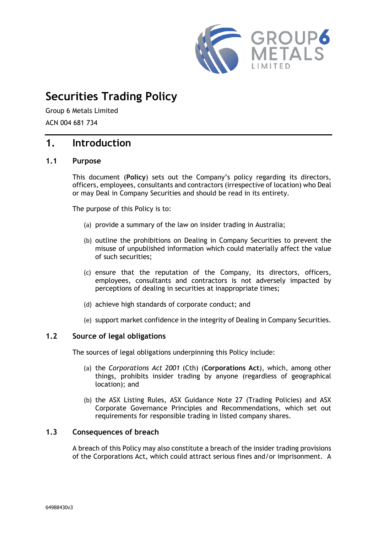

# **Securities Trading Policy**

Group 6 Metals Limited ACN 004 681 734

# **1. Introduction**

## **1.1 Purpose**

This document (**Policy**) sets out the Company's policy regarding its directors, officers, employees, consultants and contractors (irrespective of location) who Deal or may Deal in Company Securities and should be read in its entirety.

The purpose of this Policy is to:

- (a) provide a summary of the law on insider trading in Australia;
- (b) outline the prohibitions on Dealing in Company Securities to prevent the misuse of unpublished information which could materially affect the value of such securities;
- (c) ensure that the reputation of the Company, its directors, officers, employees, consultants and contractors is not adversely impacted by perceptions of dealing in securities at inappropriate times;
- (d) achieve high standards of corporate conduct; and
- (e) support market confidence in the integrity of Dealing in Company Securities.

### **1.2 Source of legal obligations**

The sources of legal obligations underpinning this Policy include:

- (a) the *Corporations Act 2001* (Cth) (**Corporations Act**), which, among other things, prohibits insider trading by anyone (regardless of geographical location); and
- (b) the ASX Listing Rules, ASX Guidance Note 27 (Trading Policies) and ASX Corporate Governance Principles and Recommendations, which set out requirements for responsible trading in listed company shares.

### **1.3 Consequences of breach**

A breach of this Policy may also constitute a breach of the insider trading provisions of the Corporations Act, which could attract serious fines and/or imprisonment. A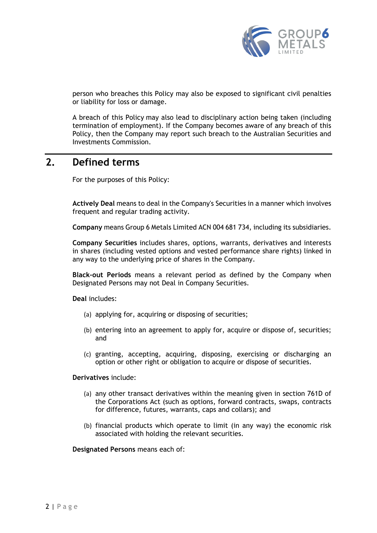

person who breaches this Policy may also be exposed to significant civil penalties or liability for loss or damage.

A breach of this Policy may also lead to disciplinary action being taken (including termination of employment). If the Company becomes aware of any breach of this Policy, then the Company may report such breach to the Australian Securities and Investments Commission.

# **2. Defined terms**

For the purposes of this Policy:

**Actively Deal** means to deal in the Company's Securities in a manner which involves frequent and regular trading activity.

**Company** means Group 6 Metals Limited ACN 004 681 734, including its subsidiaries.

**Company Securities** includes shares, options, warrants, derivatives and interests in shares (including vested options and vested performance share rights) linked in any way to the underlying price of shares in the Company.

**Black-out Periods** means a relevant period as defined by the Company when Designated Persons may not Deal in Company Securities.

**Deal** includes:

- (a) applying for, acquiring or disposing of securities;
- (b) entering into an agreement to apply for, acquire or dispose of, securities; and
- (c) granting, accepting, acquiring, disposing, exercising or discharging an option or other right or obligation to acquire or dispose of securities.

#### **Derivatives** include:

- (a) any other transact derivatives within the meaning given in section 761D of the Corporations Act (such as options, forward contracts, swaps, contracts for difference, futures, warrants, caps and collars); and
- (b) financial products which operate to limit (in any way) the economic risk associated with holding the relevant securities.

**Designated Persons** means each of: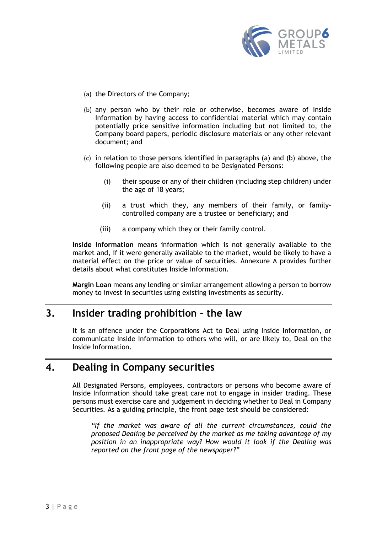

- <span id="page-2-0"></span>(a) the Directors of the Company;
- <span id="page-2-1"></span>(b) any person who by their role or otherwise, becomes aware of Inside Information by having access to confidential material which may contain potentially price sensitive information including but not limited to, the Company board papers, periodic disclosure materials or any other relevant document; and
- (c) in relation to those persons identified in paragraphs [\(a\)](#page-2-0) and [\(b\)](#page-2-1) above, the following people are also deemed to be Designated Persons:
	- (i) their spouse or any of their children (including step children) under the age of 18 years;
	- (ii) a trust which they, any members of their family, or familycontrolled company are a trustee or beneficiary; and
	- (iii) a company which they or their family control.

**Inside Information** means information which is not generally available to the market and, if it were generally available to the market, would be likely to have a material effect on the price or value of securities. Annexure A provides further details about what constitutes Inside Information.

**Margin Loan** means any lending or similar arrangement allowing a person to borrow money to invest in securities using existing investments as security.

# **3. Insider trading prohibition – the law**

It is an offence under the Corporations Act to Deal using Inside Information, or communicate Inside Information to others who will, or are likely to, Deal on the Inside Information.

# **4. Dealing in Company securities**

All Designated Persons, employees, contractors or persons who become aware of Inside Information should take great care not to engage in insider trading. These persons must exercise care and judgement in deciding whether to Deal in Company Securities. As a guiding principle, the front page test should be considered:

*"If the market was aware of all the current circumstances, could the proposed Dealing be perceived by the market as me taking advantage of my position in an inappropriate way? How would it look if the Dealing was reported on the front page of the newspaper?"*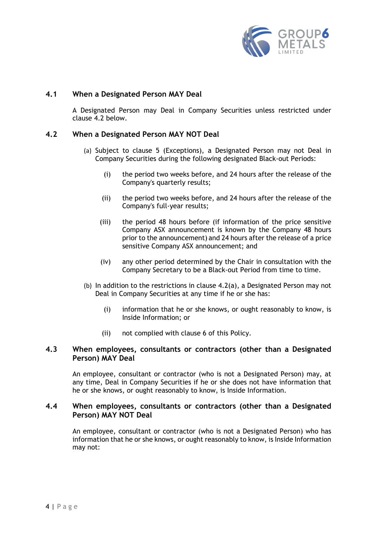

### **4.1 When a Designated Person MAY Deal**

A Designated Person may Deal in Company Securities unless restricted under clause [4.2](#page-3-0) below.

## <span id="page-3-1"></span><span id="page-3-0"></span>**4.2 When a Designated Person MAY NOT Deal**

- (a) Subject to clause 5 (Exceptions), a Designated Person may not Deal in Company Securities during the following designated Black-out Periods:
	- (i) the period two weeks before, and 24 hours after the release of the Company's quarterly results;
	- (ii) the period two weeks before, and 24 hours after the release of the Company's full-year results;
	- (iii) the period 48 hours before (if information of the price sensitive Company ASX announcement is known by the Company 48 hours prior to the announcement) and 24 hours after the release of a price sensitive Company ASX announcement; and
	- (iv) any other period determined by the Chair in consultation with the Company Secretary to be a Black-out Period from time to time.
- (b) In addition to the restrictions in clause [4.2](#page-3-0)[\(a\),](#page-3-1) a Designated Person may not Deal in Company Securities at any time if he or she has:
	- (i) information that he or she knows, or ought reasonably to know, is Inside Information; or
	- (ii) not complied with clause 6 of this Policy.

## **4.3 When employees, consultants or contractors (other than a Designated Person) MAY Deal**

An employee, consultant or contractor (who is not a Designated Person) may, at any time, Deal in Company Securities if he or she does not have information that he or she knows, or ought reasonably to know, is Inside Information.

### **4.4 When employees, consultants or contractors (other than a Designated Person) MAY NOT Deal**

An employee, consultant or contractor (who is not a Designated Person) who has information that he or she knows, or ought reasonably to know, is Inside Information may not: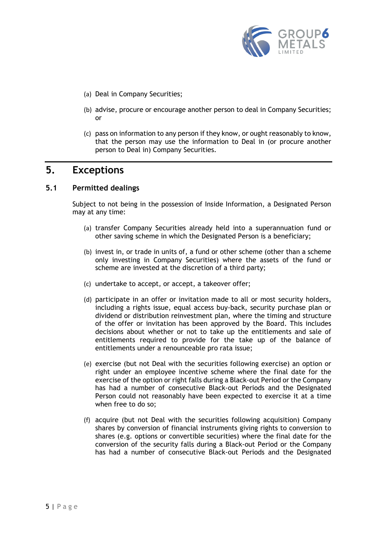

- (a) Deal in Company Securities;
- (b) advise, procure or encourage another person to deal in Company Securities; or
- (c) pass on information to any person if they know, or ought reasonably to know, that the person may use the information to Deal in (or procure another person to Deal in) Company Securities.

# **5. Exceptions**

## **5.1 Permitted dealings**

Subject to not being in the possession of Inside Information, a Designated Person may at any time:

- (a) transfer Company Securities already held into a superannuation fund or other saving scheme in which the Designated Person is a beneficiary;
- (b) invest in, or trade in units of, a fund or other scheme (other than a scheme only investing in Company Securities) where the assets of the fund or scheme are invested at the discretion of a third party;
- (c) undertake to accept, or accept, a takeover offer;
- (d) participate in an offer or invitation made to all or most security holders, including a rights issue, equal access buy-back, security purchase plan or dividend or distribution reinvestment plan, where the timing and structure of the offer or invitation has been approved by the Board. This includes decisions about whether or not to take up the entitlements and sale of entitlements required to provide for the take up of the balance of entitlements under a renounceable pro rata issue;
- (e) exercise (but not Deal with the securities following exercise) an option or right under an employee incentive scheme where the final date for the exercise of the option or right falls during a Black-out Period or the Company has had a number of consecutive Black-out Periods and the Designated Person could not reasonably have been expected to exercise it at a time when free to do so;
- (f) acquire (but not Deal with the securities following acquisition) Company shares by conversion of financial instruments giving rights to conversion to shares (e.g. options or convertible securities) where the final date for the conversion of the security falls during a Black-out Period or the Company has had a number of consecutive Black-out Periods and the Designated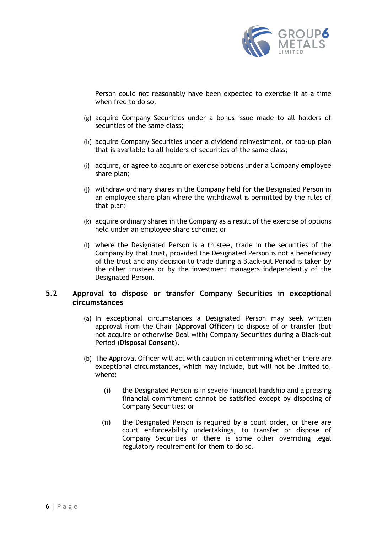

Person could not reasonably have been expected to exercise it at a time when free to do so;

- (g) acquire Company Securities under a bonus issue made to all holders of securities of the same class;
- (h) acquire Company Securities under a dividend reinvestment, or top-up plan that is available to all holders of securities of the same class;
- (i) acquire, or agree to acquire or exercise options under a Company employee share plan;
- (j) withdraw ordinary shares in the Company held for the Designated Person in an employee share plan where the withdrawal is permitted by the rules of that plan;
- (k) acquire ordinary shares in the Company as a result of the exercise of options held under an employee share scheme; or
- (l) where the Designated Person is a trustee, trade in the securities of the Company by that trust, provided the Designated Person is not a beneficiary of the trust and any decision to trade during a Black-out Period is taken by the other trustees or by the investment managers independently of the Designated Person.

## <span id="page-5-0"></span>**5.2 Approval to dispose or transfer Company Securities in exceptional circumstances**

- (a) In exceptional circumstances a Designated Person may seek written approval from the Chair (**Approval Officer**) to dispose of or transfer (but not acquire or otherwise Deal with) Company Securities during a Black-out Period (**Disposal Consent**).
- <span id="page-5-3"></span><span id="page-5-2"></span><span id="page-5-1"></span>(b) The Approval Officer will act with caution in determining whether there are exceptional circumstances, which may include, but will not be limited to, where:
	- (i) the Designated Person is in severe financial hardship and a pressing financial commitment cannot be satisfied except by disposing of Company Securities; or
	- (ii) the Designated Person is required by a court order, or there are court enforceability undertakings, to transfer or dispose of Company Securities or there is some other overriding legal regulatory requirement for them to do so.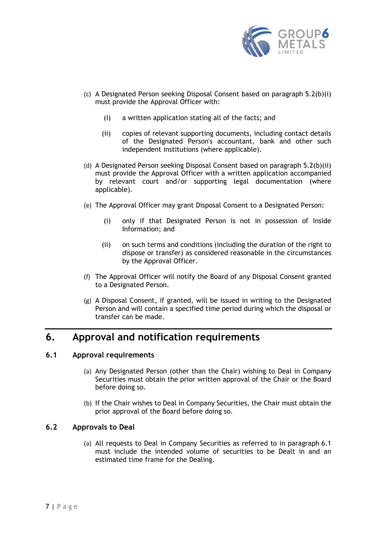

- (c) A Designated Person seeking Disposal Consent based on paragraph [5.2](#page-5-0)[\(b\)](#page-5-1)[\(i\)](#page-5-2) must provide the Approval Officer with:
	- (i) a written application stating all of the facts; and
	- (ii) copies of relevant supporting documents, including contact details of the Designated Person's accountant, bank and other such independent institutions (where applicable).
- (d) A Designated Person seeking Disposal Consent based on paragraph [5.2](#page-5-0)[\(b\)](#page-5-1)[\(ii\)](#page-5-3) must provide the Approval Officer with a written application accompanied by relevant court and/or supporting legal documentation (where applicable).
- (e) The Approval Officer may grant Disposal Consent to a Designated Person:
	- (i) only if that Designated Person is not in possession of Inside Information; and
	- (ii) on such terms and conditions (including the duration of the right to dispose or transfer) as considered reasonable in the circumstances by the Approval Officer.
- (f) The Approval Officer will notify the Board of any Disposal Consent granted to a Designated Person.
- (g) A Disposal Consent, if granted, will be issued in writing to the Designated Person and will contain a specified time period during which the disposal or transfer can be made.

# **6. Approval and notification requirements**

## <span id="page-6-0"></span>**6.1 Approval requirements**

- (a) Any Designated Person (other than the Chair) wishing to Deal in Company Securities must obtain the prior written approval of the Chair or the Board before doing so.
- (b) If the Chair wishes to Deal in Company Securities, the Chair must obtain the prior approval of the Board before doing so.

## <span id="page-6-1"></span>**6.2 Approvals to Deal**

(a) All requests to Deal in Company Securities as referred to in paragraph [6.1](#page-6-0) must include the intended volume of securities to be Dealt in and an estimated time frame for the Dealing.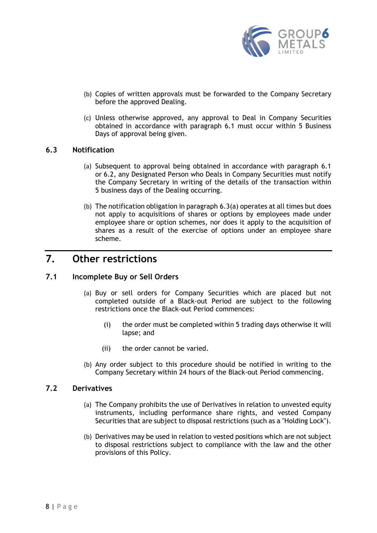

- (b) Copies of written approvals must be forwarded to the Company Secretary before the approved Dealing.
- (c) Unless otherwise approved, any approval to Deal in Company Securities obtained in accordance with paragraph 6.1 must occur within 5 Business Days of approval being given.

#### <span id="page-7-1"></span><span id="page-7-0"></span>**6.3 Notification**

- (a) Subsequent to approval being obtained in accordance with paragraph 6.1 or [6.2,](#page-6-1) any Designated Person who Deals in Company Securities must notify the Company Secretary in writing of the details of the transaction within 5 business days of the Dealing occurring.
- (b) The notification obligation in paragraph [6.3](#page-7-0)[\(a\)](#page-7-1) operates at all times but does not apply to acquisitions of shares or options by employees made under employee share or option schemes, nor does it apply to the acquisition of shares as a result of the exercise of options under an employee share scheme.

# **7. Other restrictions**

## **7.1 Incomplete Buy or Sell Orders**

- (a) Buy or sell orders for Company Securities which are placed but not completed outside of a Black-out Period are subject to the following restrictions once the Black-out Period commences:
	- (i) the order must be completed within 5 trading days otherwise it will lapse; and
	- (ii) the order cannot be varied.
- (b) Any order subject to this procedure should be notified in writing to the Company Secretary within 24 hours of the Black-out Period commencing.

#### **7.2 Derivatives**

- (a) The Company prohibits the use of Derivatives in relation to unvested equity instruments, including performance share rights, and vested Company Securities that are subject to disposal restrictions (such as a "Holding Lock").
- (b) Derivatives may be used in relation to vested positions which are not subject to disposal restrictions subject to compliance with the law and the other provisions of this Policy.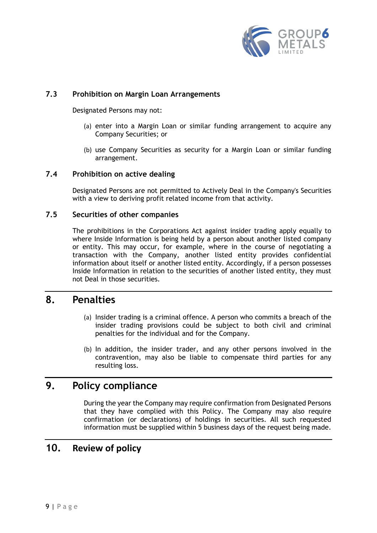

### **7.3 Prohibition on Margin Loan Arrangements**

Designated Persons may not:

- (a) enter into a Margin Loan or similar funding arrangement to acquire any Company Securities; or
- (b) use Company Securities as security for a Margin Loan or similar funding arrangement.

### **7.4 Prohibition on active dealing**

Designated Persons are not permitted to Actively Deal in the Company's Securities with a view to deriving profit related income from that activity.

#### **7.5 Securities of other companies**

The prohibitions in the Corporations Act against insider trading apply equally to where Inside Information is being held by a person about another listed company or entity. This may occur, for example, where in the course of negotiating a transaction with the Company, another listed entity provides confidential information about itself or another listed entity. Accordingly, if a person possesses Inside Information in relation to the securities of another listed entity, they must not Deal in those securities.

# **8. Penalties**

- (a) Insider trading is a criminal offence. A person who commits a breach of the insider trading provisions could be subject to both civil and criminal penalties for the individual and for the Company.
- (b) In addition, the insider trader, and any other persons involved in the contravention, may also be liable to compensate third parties for any resulting loss.

# **9. Policy compliance**

During the year the Company may require confirmation from Designated Persons that they have complied with this Policy. The Company may also require confirmation (or declarations) of holdings in securities. All such requested information must be supplied within 5 business days of the request being made.

# **10. Review of policy**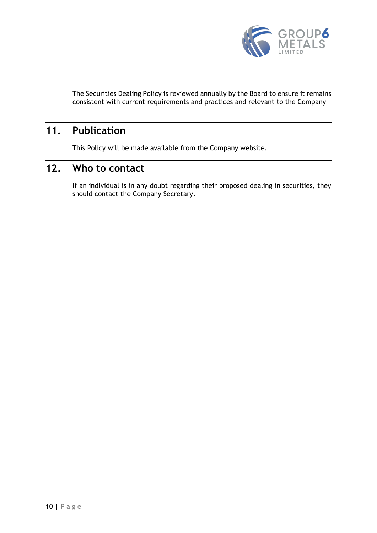

The Securities Dealing Policy is reviewed annually by the Board to ensure it remains consistent with current requirements and practices and relevant to the Company

# **11. Publication**

This Policy will be made available from the Company website.

# **12. Who to contact**

If an individual is in any doubt regarding their proposed dealing in securities, they should contact the Company Secretary.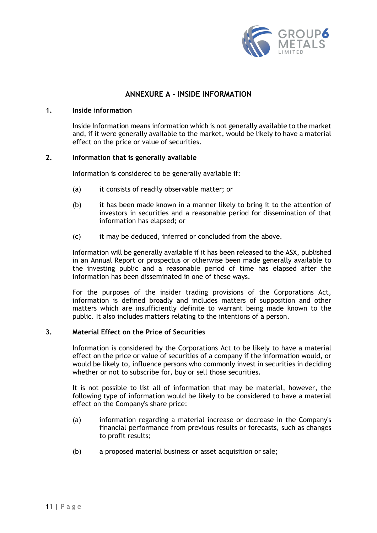

## **ANNEXURE A - INSIDE INFORMATION**

#### **1. Inside information**

Inside Information means information which is not generally available to the market and, if it were generally available to the market, would be likely to have a material effect on the price or value of securities.

#### **2. Information that is generally available**

Information is considered to be generally available if:

- (a) it consists of readily observable matter; or
- (b) it has been made known in a manner likely to bring it to the attention of investors in securities and a reasonable period for dissemination of that information has elapsed; or
- (c) it may be deduced, inferred or concluded from the above.

Information will be generally available if it has been released to the ASX, published in an Annual Report or prospectus or otherwise been made generally available to the investing public and a reasonable period of time has elapsed after the information has been disseminated in one of these ways.

For the purposes of the insider trading provisions of the Corporations Act, information is defined broadly and includes matters of supposition and other matters which are insufficiently definite to warrant being made known to the public. It also includes matters relating to the intentions of a person.

#### **3. Material Effect on the Price of Securities**

Information is considered by the Corporations Act to be likely to have a material effect on the price or value of securities of a company if the information would, or would be likely to, influence persons who commonly invest in securities in deciding whether or not to subscribe for, buy or sell those securities.

It is not possible to list all of information that may be material, however, the following type of information would be likely to be considered to have a material effect on the Company's share price:

- (a) information regarding a material increase or decrease in the Company's financial performance from previous results or forecasts, such as changes to profit results;
- (b) a proposed material business or asset acquisition or sale;